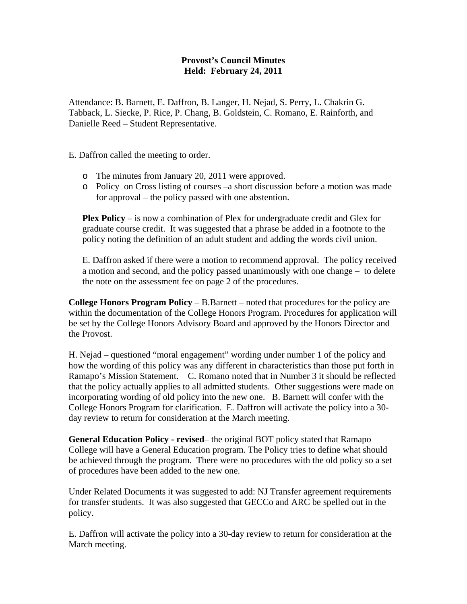## **Provost's Council Minutes Held: February 24, 2011**

Attendance: B. Barnett, E. Daffron, B. Langer, H. Nejad, S. Perry, L. Chakrin G. Tabback, L. Siecke, P. Rice, P. Chang, B. Goldstein, C. Romano, E. Rainforth, and Danielle Reed – Student Representative.

E. Daffron called the meeting to order.

- o The minutes from January 20, 2011 were approved.
- o Policy on Cross listing of courses –a short discussion before a motion was made for approval – the policy passed with one abstention.

**Plex Policy** – is now a combination of Plex for undergraduate credit and Glex for graduate course credit. It was suggested that a phrase be added in a footnote to the policy noting the definition of an adult student and adding the words civil union.

E. Daffron asked if there were a motion to recommend approval. The policy received a motion and second, and the policy passed unanimously with one change – to delete the note on the assessment fee on page 2 of the procedures.

**College Honors Program Policy** – B.Barnett – noted that procedures for the policy are within the documentation of the College Honors Program. Procedures for application will be set by the College Honors Advisory Board and approved by the Honors Director and the Provost.

H. Nejad – questioned "moral engagement" wording under number 1 of the policy and how the wording of this policy was any different in characteristics than those put forth in Ramapo's Mission Statement. C. Romano noted that in Number 3 it should be reflected that the policy actually applies to all admitted students. Other suggestions were made on incorporating wording of old policy into the new one. B. Barnett will confer with the College Honors Program for clarification. E. Daffron will activate the policy into a 30 day review to return for consideration at the March meeting.

**General Education Policy - revised**– the original BOT policy stated that Ramapo College will have a General Education program. The Policy tries to define what should be achieved through the program. There were no procedures with the old policy so a set of procedures have been added to the new one.

Under Related Documents it was suggested to add: NJ Transfer agreement requirements for transfer students. It was also suggested that GECCo and ARC be spelled out in the policy.

E. Daffron will activate the policy into a 30-day review to return for consideration at the March meeting.